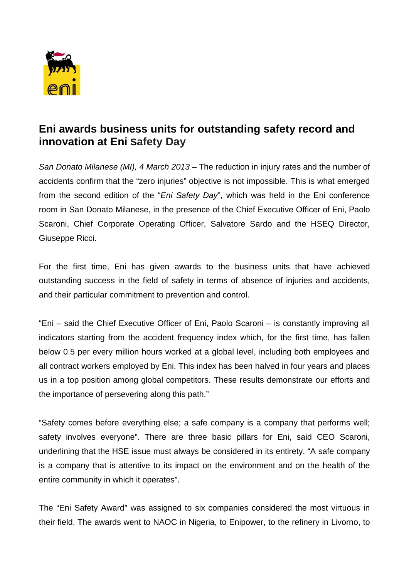

## **Eni awards business units for outstanding safety record and innovation at Eni Safety Day**

*San Donato Milanese (MI), 4 March 2013* – The reduction in injury rates and the number of accidents confirm that the "zero injuries" objective is not impossible. This is what emerged from the second edition of the "*Eni Safety Day*", which was held in the Eni conference room in San Donato Milanese, in the presence of the Chief Executive Officer of Eni, Paolo Scaroni, Chief Corporate Operating Officer, Salvatore Sardo and the HSEQ Director, Giuseppe Ricci.

For the first time, Eni has given awards to the business units that have achieved outstanding success in the field of safety in terms of absence of injuries and accidents, and their particular commitment to prevention and control.

"Eni – said the Chief Executive Officer of Eni, Paolo Scaroni – is constantly improving all indicators starting from the accident frequency index which, for the first time, has fallen below 0.5 per every million hours worked at a global level, including both employees and all contract workers employed by Eni. This index has been halved in four years and places us in a top position among global competitors. These results demonstrate our efforts and the importance of persevering along this path."

"Safety comes before everything else; a safe company is a company that performs well; safety involves everyone". There are three basic pillars for Eni, said CEO Scaroni, underlining that the HSE issue must always be considered in its entirety. "A safe company is a company that is attentive to its impact on the environment and on the health of the entire community in which it operates".

The "Eni Safety Award" was assigned to six companies considered the most virtuous in their field. The awards went to NAOC in Nigeria, to Enipower, to the refinery in Livorno, to